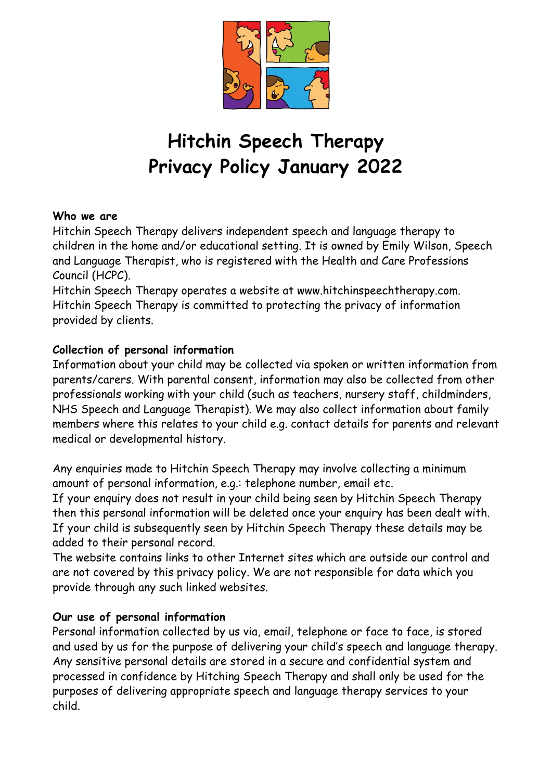

# **Hitchin Speech Therapy Privacy Policy January 2022**

#### **Who we are**

Hitchin Speech Therapy delivers independent speech and language therapy to children in the home and/or educational setting. It is owned by Emily Wilson, Speech and Language Therapist, who is registered with the Health and Care Professions Council (HCPC).

Hitchin Speech Therapy operates a website at www.hitchinspeechtherapy.com. Hitchin Speech Therapy is committed to protecting the privacy of information provided by clients.

## **Collection of personal information**

Information about your child may be collected via spoken or written information from parents/carers. With parental consent, information may also be collected from other professionals working with your child (such as teachers, nursery staff, childminders, NHS Speech and Language Therapist). We may also collect information about family members where this relates to your child e.g. contact details for parents and relevant medical or developmental history.

Any enquiries made to Hitchin Speech Therapy may involve collecting a minimum amount of personal information, e.g.: telephone number, email etc.

If your enquiry does not result in your child being seen by Hitchin Speech Therapy then this personal information will be deleted once your enquiry has been dealt with. If your child is subsequently seen by Hitchin Speech Therapy these details may be added to their personal record.

The website contains links to other Internet sites which are outside our control and are not covered by this privacy policy. We are not responsible for data which you provide through any such linked websites.

### **Our use of personal information**

Personal information collected by us via, email, telephone or face to face, is stored and used by us for the purpose of delivering your child's speech and language therapy. Any sensitive personal details are stored in a secure and confidential system and processed in confidence by Hitching Speech Therapy and shall only be used for the purposes of delivering appropriate speech and language therapy services to your child.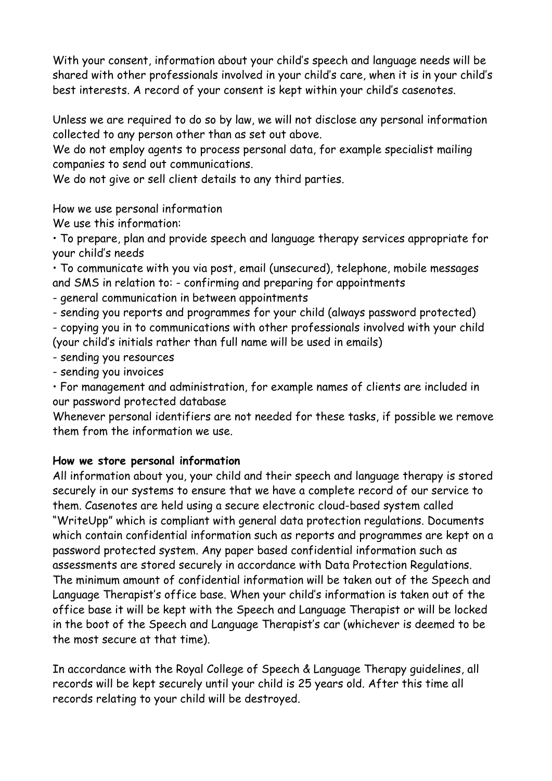With your consent, information about your child's speech and language needs will be shared with other professionals involved in your child's care, when it is in your child's best interests. A record of your consent is kept within your child's casenotes.

Unless we are required to do so by law, we will not disclose any personal information collected to any person other than as set out above.

We do not employ agents to process personal data, for example specialist mailing companies to send out communications.

We do not give or sell client details to any third parties.

How we use personal information

We use this information:

• To prepare, plan and provide speech and language therapy services appropriate for your child's needs

• To communicate with you via post, email (unsecured), telephone, mobile messages and SMS in relation to: - confirming and preparing for appointments

- general communication in between appointments

- sending you reports and programmes for your child (always password protected) - copying you in to communications with other professionals involved with your child (your child's initials rather than full name will be used in emails)

- sending you resources

- sending you invoices

• For management and administration, for example names of clients are included in our password protected database

Whenever personal identifiers are not needed for these tasks, if possible we remove them from the information we use.

## **How we store personal information**

All information about you, your child and their speech and language therapy is stored securely in our systems to ensure that we have a complete record of our service to them. Casenotes are held using a secure electronic cloud-based system called "WriteUpp" which is compliant with general data protection regulations. Documents which contain confidential information such as reports and programmes are kept on a password protected system. Any paper based confidential information such as assessments are stored securely in accordance with Data Protection Regulations. The minimum amount of confidential information will be taken out of the Speech and Language Therapist's office base. When your child's information is taken out of the office base it will be kept with the Speech and Language Therapist or will be locked in the boot of the Speech and Language Therapist's car (whichever is deemed to be the most secure at that time).

In accordance with the Royal College of Speech & Language Therapy guidelines, all records will be kept securely until your child is 25 years old. After this time all records relating to your child will be destroyed.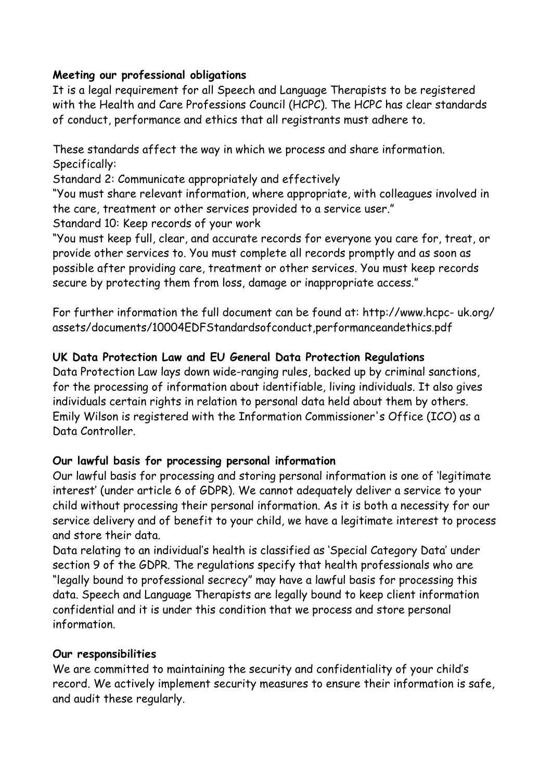#### **Meeting our professional obligations**

It is a legal requirement for all Speech and Language Therapists to be registered with the Health and Care Professions Council (HCPC). The HCPC has clear standards of conduct, performance and ethics that all registrants must adhere to.

These standards affect the way in which we process and share information. Specifically:

Standard 2: Communicate appropriately and effectively

"You must share relevant information, where appropriate, with colleagues involved in the care, treatment or other services provided to a service user."

Standard 10: Keep records of your work

"You must keep full, clear, and accurate records for everyone you care for, treat, or provide other services to. You must complete all records promptly and as soon as possible after providing care, treatment or other services. You must keep records secure by protecting them from loss, damage or inappropriate access."

For further information the full document can be found at: http://www.hcpc- uk.org/ assets/documents/10004EDFStandardsofconduct,performanceandethics.pdf

### **UK Data Protection Law and EU General Data Protection Regulations**

Data Protection Law lays down wide-ranging rules, backed up by criminal sanctions, for the processing of information about identifiable, living individuals. It also gives individuals certain rights in relation to personal data held about them by others. Emily Wilson is registered with the Information Commissioner's Office (ICO) as a Data Controller.

### **Our lawful basis for processing personal information**

Our lawful basis for processing and storing personal information is one of 'legitimate interest' (under article 6 of GDPR). We cannot adequately deliver a service to your child without processing their personal information. As it is both a necessity for our service delivery and of benefit to your child, we have a legitimate interest to process and store their data.

Data relating to an individual's health is classified as 'Special Category Data' under section 9 of the GDPR. The regulations specify that health professionals who are "legally bound to professional secrecy" may have a lawful basis for processing this data. Speech and Language Therapists are legally bound to keep client information confidential and it is under this condition that we process and store personal information.

### **Our responsibilities**

We are committed to maintaining the security and confidentiality of your child's record. We actively implement security measures to ensure their information is safe, and audit these regularly.